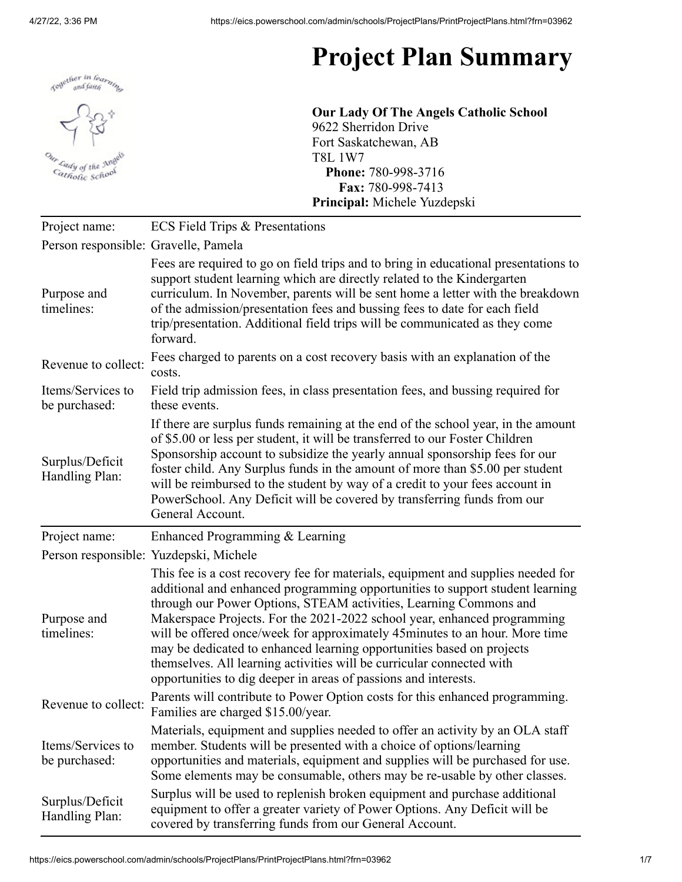

## **Project Plan Summary**

**Our Lady Of The Angels Catholic School** 9622 Sherridon Drive Fort Saskatchewan, AB T8L 1W7 **Phone:** 780-998-3716 **Fax:** 780-998-7413 **Principal:** Michele Yuzdepski

| Project name:                        | <b>ECS Field Trips &amp; Presentations</b>                                                                                                                                                                                                                                                                                                                                                                                                                                                                                                                                                                              |
|--------------------------------------|-------------------------------------------------------------------------------------------------------------------------------------------------------------------------------------------------------------------------------------------------------------------------------------------------------------------------------------------------------------------------------------------------------------------------------------------------------------------------------------------------------------------------------------------------------------------------------------------------------------------------|
| Person responsible: Gravelle, Pamela |                                                                                                                                                                                                                                                                                                                                                                                                                                                                                                                                                                                                                         |
| Purpose and<br>timelines:            | Fees are required to go on field trips and to bring in educational presentations to<br>support student learning which are directly related to the Kindergarten<br>curriculum. In November, parents will be sent home a letter with the breakdown<br>of the admission/presentation fees and bussing fees to date for each field<br>trip/presentation. Additional field trips will be communicated as they come<br>forward.                                                                                                                                                                                               |
| Revenue to collect:                  | Fees charged to parents on a cost recovery basis with an explanation of the<br>costs.                                                                                                                                                                                                                                                                                                                                                                                                                                                                                                                                   |
| Items/Services to<br>be purchased:   | Field trip admission fees, in class presentation fees, and bussing required for<br>these events.                                                                                                                                                                                                                                                                                                                                                                                                                                                                                                                        |
| Surplus/Deficit<br>Handling Plan:    | If there are surplus funds remaining at the end of the school year, in the amount<br>of \$5.00 or less per student, it will be transferred to our Foster Children<br>Sponsorship account to subsidize the yearly annual sponsorship fees for our<br>foster child. Any Surplus funds in the amount of more than \$5.00 per student<br>will be reimbursed to the student by way of a credit to your fees account in<br>PowerSchool. Any Deficit will be covered by transferring funds from our<br>General Account.                                                                                                        |
| Project name:                        | Enhanced Programming & Learning                                                                                                                                                                                                                                                                                                                                                                                                                                                                                                                                                                                         |
|                                      | Person responsible: Yuzdepski, Michele                                                                                                                                                                                                                                                                                                                                                                                                                                                                                                                                                                                  |
| Purpose and<br>timelines:            | This fee is a cost recovery fee for materials, equipment and supplies needed for<br>additional and enhanced programming opportunities to support student learning<br>through our Power Options, STEAM activities, Learning Commons and<br>Makerspace Projects. For the 2021-2022 school year, enhanced programming<br>will be offered once/week for approximately 45 minutes to an hour. More time<br>may be dedicated to enhanced learning opportunities based on projects<br>themselves. All learning activities will be curricular connected with<br>opportunities to dig deeper in areas of passions and interests. |
| Revenue to collect:                  | Parents will contribute to Power Option costs for this enhanced programming.<br>Families are charged \$15.00/year.                                                                                                                                                                                                                                                                                                                                                                                                                                                                                                      |
| Items/Services to<br>be purchased:   | Materials, equipment and supplies needed to offer an activity by an OLA staff<br>member. Students will be presented with a choice of options/learning<br>opportunities and materials, equipment and supplies will be purchased for use.                                                                                                                                                                                                                                                                                                                                                                                 |
|                                      | Some elements may be consumable, others may be re-usable by other classes.                                                                                                                                                                                                                                                                                                                                                                                                                                                                                                                                              |

## https://eics.powerschool.com/admin/schools/ProjectPlans/PrintProjectPlans.html?frn=03962 1/7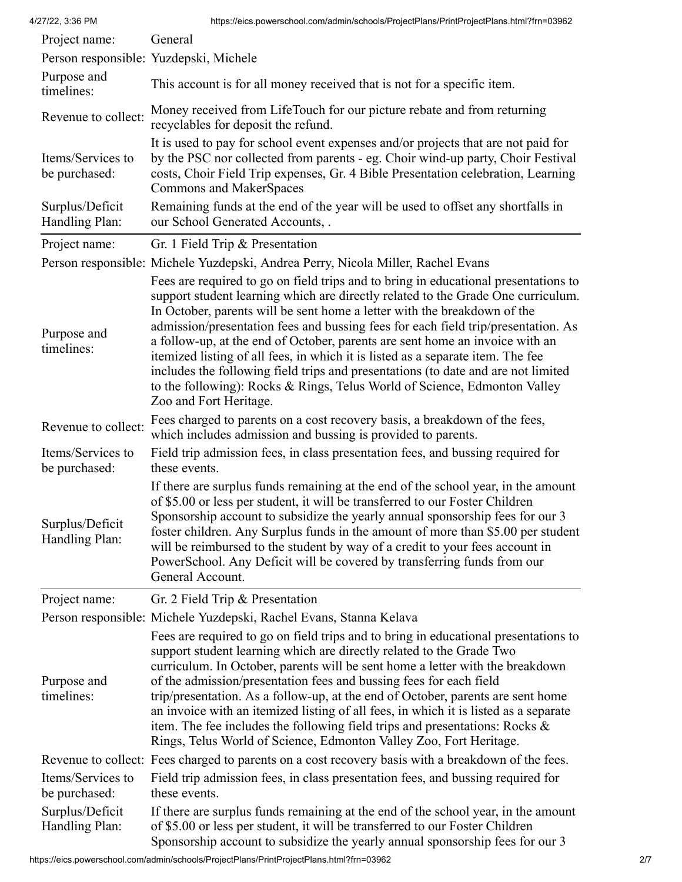| Project name:                      | General                                                                                                                                                                                                                                                                                                                                                                                                                                                                                                                                                                                                                                                                                                 |
|------------------------------------|---------------------------------------------------------------------------------------------------------------------------------------------------------------------------------------------------------------------------------------------------------------------------------------------------------------------------------------------------------------------------------------------------------------------------------------------------------------------------------------------------------------------------------------------------------------------------------------------------------------------------------------------------------------------------------------------------------|
|                                    | Person responsible: Yuzdepski, Michele                                                                                                                                                                                                                                                                                                                                                                                                                                                                                                                                                                                                                                                                  |
| Purpose and<br>timelines:          | This account is for all money received that is not for a specific item.                                                                                                                                                                                                                                                                                                                                                                                                                                                                                                                                                                                                                                 |
| Revenue to collect:                | Money received from LifeTouch for our picture rebate and from returning<br>recyclables for deposit the refund.                                                                                                                                                                                                                                                                                                                                                                                                                                                                                                                                                                                          |
| Items/Services to<br>be purchased: | It is used to pay for school event expenses and/or projects that are not paid for<br>by the PSC nor collected from parents - eg. Choir wind-up party, Choir Festival<br>costs, Choir Field Trip expenses, Gr. 4 Bible Presentation celebration, Learning<br>Commons and MakerSpaces                                                                                                                                                                                                                                                                                                                                                                                                                     |
| Surplus/Deficit<br>Handling Plan:  | Remaining funds at the end of the year will be used to offset any shortfalls in<br>our School Generated Accounts, .                                                                                                                                                                                                                                                                                                                                                                                                                                                                                                                                                                                     |
| Project name:                      | Gr. 1 Field Trip & Presentation                                                                                                                                                                                                                                                                                                                                                                                                                                                                                                                                                                                                                                                                         |
|                                    | Person responsible: Michele Yuzdepski, Andrea Perry, Nicola Miller, Rachel Evans                                                                                                                                                                                                                                                                                                                                                                                                                                                                                                                                                                                                                        |
| Purpose and<br>timelines:          | Fees are required to go on field trips and to bring in educational presentations to<br>support student learning which are directly related to the Grade One curriculum.<br>In October, parents will be sent home a letter with the breakdown of the<br>admission/presentation fees and bussing fees for each field trip/presentation. As<br>a follow-up, at the end of October, parents are sent home an invoice with an<br>itemized listing of all fees, in which it is listed as a separate item. The fee<br>includes the following field trips and presentations (to date and are not limited<br>to the following): Rocks & Rings, Telus World of Science, Edmonton Valley<br>Zoo and Fort Heritage. |
| Revenue to collect:                | Fees charged to parents on a cost recovery basis, a breakdown of the fees,<br>which includes admission and bussing is provided to parents.                                                                                                                                                                                                                                                                                                                                                                                                                                                                                                                                                              |
| Items/Services to<br>be purchased: | Field trip admission fees, in class presentation fees, and bussing required for<br>these events.                                                                                                                                                                                                                                                                                                                                                                                                                                                                                                                                                                                                        |
| Surplus/Deficit<br>Handling Plan:  | If there are surplus funds remaining at the end of the school year, in the amount<br>of \$5.00 or less per student, it will be transferred to our Foster Children<br>Sponsorship account to subsidize the yearly annual sponsorship fees for our 3<br>foster children. Any Surplus funds in the amount of more than \$5.00 per student<br>will be reimbursed to the student by way of a credit to your fees account in<br>PowerSchool. Any Deficit will be covered by transferring funds from our<br>General Account.                                                                                                                                                                                   |
| Project name:                      | Gr. 2 Field Trip & Presentation                                                                                                                                                                                                                                                                                                                                                                                                                                                                                                                                                                                                                                                                         |
|                                    | Person responsible: Michele Yuzdepski, Rachel Evans, Stanna Kelava                                                                                                                                                                                                                                                                                                                                                                                                                                                                                                                                                                                                                                      |
| Purpose and<br>timelines:          | Fees are required to go on field trips and to bring in educational presentations to<br>support student learning which are directly related to the Grade Two<br>curriculum. In October, parents will be sent home a letter with the breakdown<br>of the admission/presentation fees and bussing fees for each field<br>trip/presentation. As a follow-up, at the end of October, parents are sent home<br>an invoice with an itemized listing of all fees, in which it is listed as a separate<br>item. The fee includes the following field trips and presentations: Rocks $\&$<br>Rings, Telus World of Science, Edmonton Valley Zoo, Fort Heritage.                                                   |
|                                    | Revenue to collect: Fees charged to parents on a cost recovery basis with a breakdown of the fees.                                                                                                                                                                                                                                                                                                                                                                                                                                                                                                                                                                                                      |
| Items/Services to<br>be purchased: | Field trip admission fees, in class presentation fees, and bussing required for<br>these events.                                                                                                                                                                                                                                                                                                                                                                                                                                                                                                                                                                                                        |
| Surplus/Deficit<br>Handling Plan:  | If there are surplus funds remaining at the end of the school year, in the amount<br>of \$5.00 or less per student, it will be transferred to our Foster Children                                                                                                                                                                                                                                                                                                                                                                                                                                                                                                                                       |

Sponsorship account to subsidize the yearly annual sponsorship fees for our 3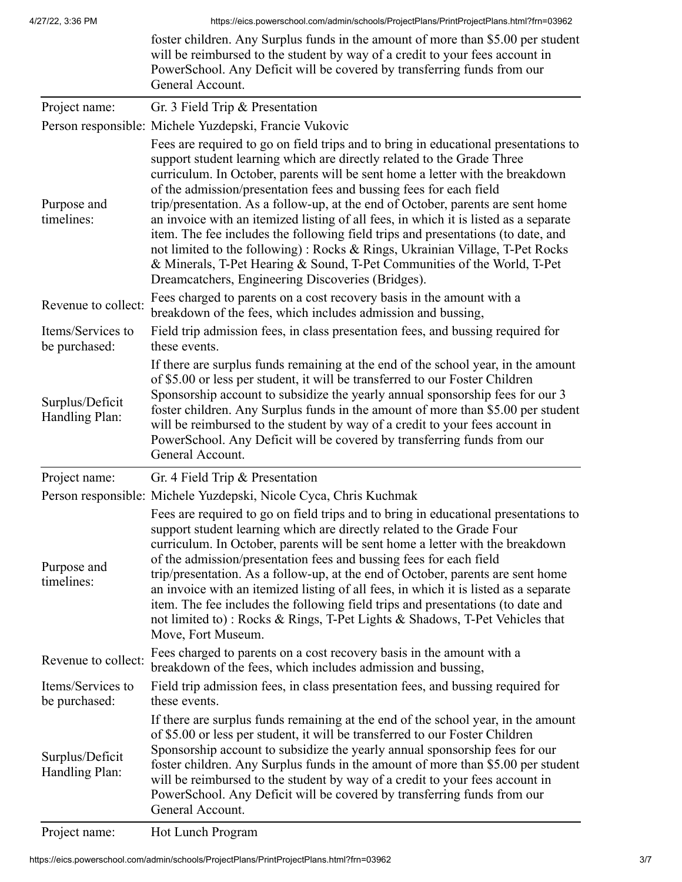|                                    | foster children. Any Surplus funds in the amount of more than \$5.00 per student<br>will be reimbursed to the student by way of a credit to your fees account in<br>PowerSchool. Any Deficit will be covered by transferring funds from our<br>General Account.                                                                                                                                                                                                                                                                                                                                                                                                                                                                                                                                      |
|------------------------------------|------------------------------------------------------------------------------------------------------------------------------------------------------------------------------------------------------------------------------------------------------------------------------------------------------------------------------------------------------------------------------------------------------------------------------------------------------------------------------------------------------------------------------------------------------------------------------------------------------------------------------------------------------------------------------------------------------------------------------------------------------------------------------------------------------|
| Project name:                      | Gr. 3 Field Trip & Presentation                                                                                                                                                                                                                                                                                                                                                                                                                                                                                                                                                                                                                                                                                                                                                                      |
|                                    | Person responsible: Michele Yuzdepski, Francie Vukovic                                                                                                                                                                                                                                                                                                                                                                                                                                                                                                                                                                                                                                                                                                                                               |
| Purpose and<br>timelines:          | Fees are required to go on field trips and to bring in educational presentations to<br>support student learning which are directly related to the Grade Three<br>curriculum. In October, parents will be sent home a letter with the breakdown<br>of the admission/presentation fees and bussing fees for each field<br>trip/presentation. As a follow-up, at the end of October, parents are sent home<br>an invoice with an itemized listing of all fees, in which it is listed as a separate<br>item. The fee includes the following field trips and presentations (to date, and<br>not limited to the following): Rocks & Rings, Ukrainian Village, T-Pet Rocks<br>& Minerals, T-Pet Hearing & Sound, T-Pet Communities of the World, T-Pet<br>Dreamcatchers, Engineering Discoveries (Bridges). |
| Revenue to collect:                | Fees charged to parents on a cost recovery basis in the amount with a<br>breakdown of the fees, which includes admission and bussing,                                                                                                                                                                                                                                                                                                                                                                                                                                                                                                                                                                                                                                                                |
| Items/Services to<br>be purchased: | Field trip admission fees, in class presentation fees, and bussing required for<br>these events.                                                                                                                                                                                                                                                                                                                                                                                                                                                                                                                                                                                                                                                                                                     |
| Surplus/Deficit<br>Handling Plan:  | If there are surplus funds remaining at the end of the school year, in the amount<br>of \$5.00 or less per student, it will be transferred to our Foster Children<br>Sponsorship account to subsidize the yearly annual sponsorship fees for our 3<br>foster children. Any Surplus funds in the amount of more than \$5.00 per student<br>will be reimbursed to the student by way of a credit to your fees account in<br>PowerSchool. Any Deficit will be covered by transferring funds from our<br>General Account.                                                                                                                                                                                                                                                                                |
| Project name:                      | Gr. 4 Field Trip & Presentation                                                                                                                                                                                                                                                                                                                                                                                                                                                                                                                                                                                                                                                                                                                                                                      |
|                                    | Person responsible: Michele Yuzdepski, Nicole Cyca, Chris Kuchmak                                                                                                                                                                                                                                                                                                                                                                                                                                                                                                                                                                                                                                                                                                                                    |
| Purpose and<br>timelines:          | Fees are required to go on field trips and to bring in educational presentations to<br>support student learning which are directly related to the Grade Four<br>curriculum. In October, parents will be sent home a letter with the breakdown<br>of the admission/presentation fees and bussing fees for each field<br>trip/presentation. As a follow-up, at the end of October, parents are sent home<br>an invoice with an itemized listing of all fees, in which it is listed as a separate<br>item. The fee includes the following field trips and presentations (to date and<br>not limited to): Rocks & Rings, T-Pet Lights & Shadows, T-Pet Vehicles that<br>Move, Fort Museum.                                                                                                               |
| Revenue to collect:                | Fees charged to parents on a cost recovery basis in the amount with a<br>breakdown of the fees, which includes admission and bussing,                                                                                                                                                                                                                                                                                                                                                                                                                                                                                                                                                                                                                                                                |
| Items/Services to<br>be purchased: | Field trip admission fees, in class presentation fees, and bussing required for<br>these events.                                                                                                                                                                                                                                                                                                                                                                                                                                                                                                                                                                                                                                                                                                     |
| Surplus/Deficit<br>Handling Plan:  | If there are surplus funds remaining at the end of the school year, in the amount<br>of \$5.00 or less per student, it will be transferred to our Foster Children<br>Sponsorship account to subsidize the yearly annual sponsorship fees for our<br>foster children. Any Surplus funds in the amount of more than \$5.00 per student<br>will be reimbursed to the student by way of a credit to your fees account in<br>PowerSchool. Any Deficit will be covered by transferring funds from our<br>General Account.                                                                                                                                                                                                                                                                                  |

Project name: Hot Lunch Program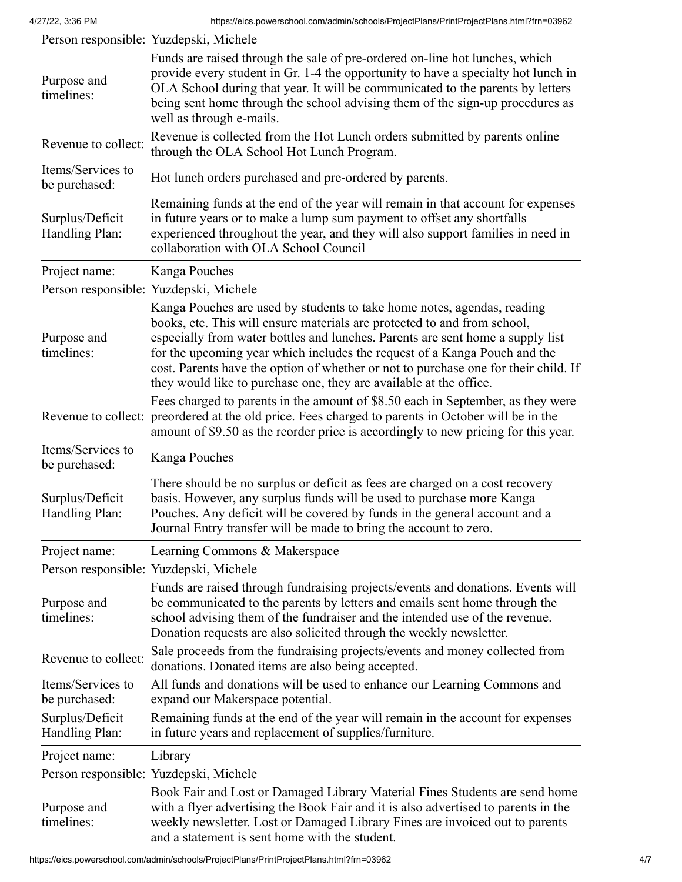|                                    | Person responsible: Yuzdepski, Michele                                                                                                                                                                                                                                                                                                                                                                                                                                          |
|------------------------------------|---------------------------------------------------------------------------------------------------------------------------------------------------------------------------------------------------------------------------------------------------------------------------------------------------------------------------------------------------------------------------------------------------------------------------------------------------------------------------------|
| Purpose and<br>timelines:          | Funds are raised through the sale of pre-ordered on-line hot lunches, which<br>provide every student in Gr. 1-4 the opportunity to have a specialty hot lunch in<br>OLA School during that year. It will be communicated to the parents by letters<br>being sent home through the school advising them of the sign-up procedures as<br>well as through e-mails.                                                                                                                 |
| Revenue to collect:                | Revenue is collected from the Hot Lunch orders submitted by parents online<br>through the OLA School Hot Lunch Program.                                                                                                                                                                                                                                                                                                                                                         |
| Items/Services to<br>be purchased: | Hot lunch orders purchased and pre-ordered by parents.                                                                                                                                                                                                                                                                                                                                                                                                                          |
| Surplus/Deficit<br>Handling Plan:  | Remaining funds at the end of the year will remain in that account for expenses<br>in future years or to make a lump sum payment to offset any shortfalls<br>experienced throughout the year, and they will also support families in need in<br>collaboration with OLA School Council                                                                                                                                                                                           |
| Project name:                      | Kanga Pouches                                                                                                                                                                                                                                                                                                                                                                                                                                                                   |
|                                    | Person responsible: Yuzdepski, Michele                                                                                                                                                                                                                                                                                                                                                                                                                                          |
| Purpose and<br>timelines:          | Kanga Pouches are used by students to take home notes, agendas, reading<br>books, etc. This will ensure materials are protected to and from school,<br>especially from water bottles and lunches. Parents are sent home a supply list<br>for the upcoming year which includes the request of a Kanga Pouch and the<br>cost. Parents have the option of whether or not to purchase one for their child. If<br>they would like to purchase one, they are available at the office. |
|                                    | Fees charged to parents in the amount of \$8.50 each in September, as they were<br>Revenue to collect: preordered at the old price. Fees charged to parents in October will be in the<br>amount of \$9.50 as the reorder price is accordingly to new pricing for this year.                                                                                                                                                                                                     |
| Items/Services to<br>be purchased: | Kanga Pouches                                                                                                                                                                                                                                                                                                                                                                                                                                                                   |
| Surplus/Deficit<br>Handling Plan:  | There should be no surplus or deficit as fees are charged on a cost recovery<br>basis. However, any surplus funds will be used to purchase more Kanga<br>Pouches. Any deficit will be covered by funds in the general account and a<br>Journal Entry transfer will be made to bring the account to zero.                                                                                                                                                                        |
| Project name:                      | Learning Commons & Makerspace                                                                                                                                                                                                                                                                                                                                                                                                                                                   |
|                                    | Person responsible: Yuzdepski, Michele                                                                                                                                                                                                                                                                                                                                                                                                                                          |
| Purpose and<br>timelines:          | Funds are raised through fundraising projects/events and donations. Events will<br>be communicated to the parents by letters and emails sent home through the<br>school advising them of the fundraiser and the intended use of the revenue.<br>Donation requests are also solicited through the weekly newsletter.                                                                                                                                                             |
| Revenue to collect:                | Sale proceeds from the fundraising projects/events and money collected from<br>donations. Donated items are also being accepted.                                                                                                                                                                                                                                                                                                                                                |
| Items/Services to<br>be purchased: | All funds and donations will be used to enhance our Learning Commons and<br>expand our Makerspace potential.                                                                                                                                                                                                                                                                                                                                                                    |
| Surplus/Deficit<br>Handling Plan:  | Remaining funds at the end of the year will remain in the account for expenses<br>in future years and replacement of supplies/furniture.                                                                                                                                                                                                                                                                                                                                        |
| Project name:                      | Library                                                                                                                                                                                                                                                                                                                                                                                                                                                                         |
|                                    | Person responsible: Yuzdepski, Michele                                                                                                                                                                                                                                                                                                                                                                                                                                          |
| Purpose and<br>timelines:          | Book Fair and Lost or Damaged Library Material Fines Students are send home<br>with a flyer advertising the Book Fair and it is also advertised to parents in the<br>weekly newsletter. Lost or Damaged Library Fines are invoiced out to parents                                                                                                                                                                                                                               |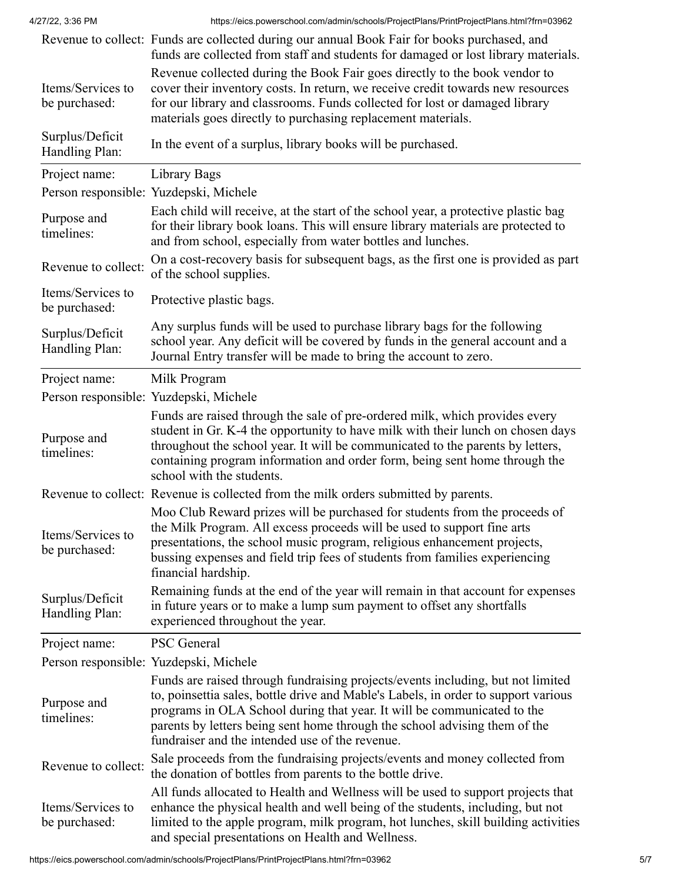4/27/22, 3:36 PM https://eics.powerschool.com/admin/schools/ProjectPlans/PrintProjectPlans.html?frn=03962

|                                    | Revenue to collect: Funds are collected during our annual Book Fair for books purchased, and<br>funds are collected from staff and students for damaged or lost library materials.                                                                                                                                                                                                |
|------------------------------------|-----------------------------------------------------------------------------------------------------------------------------------------------------------------------------------------------------------------------------------------------------------------------------------------------------------------------------------------------------------------------------------|
| Items/Services to<br>be purchased: | Revenue collected during the Book Fair goes directly to the book vendor to<br>cover their inventory costs. In return, we receive credit towards new resources<br>for our library and classrooms. Funds collected for lost or damaged library<br>materials goes directly to purchasing replacement materials.                                                                      |
| Surplus/Deficit<br>Handling Plan:  | In the event of a surplus, library books will be purchased.                                                                                                                                                                                                                                                                                                                       |
| Project name:                      | Library Bags                                                                                                                                                                                                                                                                                                                                                                      |
|                                    | Person responsible: Yuzdepski, Michele                                                                                                                                                                                                                                                                                                                                            |
| Purpose and<br>timelines:          | Each child will receive, at the start of the school year, a protective plastic bag<br>for their library book loans. This will ensure library materials are protected to<br>and from school, especially from water bottles and lunches.                                                                                                                                            |
| Revenue to collect:                | On a cost-recovery basis for subsequent bags, as the first one is provided as part<br>of the school supplies.                                                                                                                                                                                                                                                                     |
| Items/Services to<br>be purchased: | Protective plastic bags.                                                                                                                                                                                                                                                                                                                                                          |
| Surplus/Deficit<br>Handling Plan:  | Any surplus funds will be used to purchase library bags for the following<br>school year. Any deficit will be covered by funds in the general account and a<br>Journal Entry transfer will be made to bring the account to zero.                                                                                                                                                  |
| Project name:                      | Milk Program                                                                                                                                                                                                                                                                                                                                                                      |
|                                    | Person responsible: Yuzdepski, Michele                                                                                                                                                                                                                                                                                                                                            |
| Purpose and<br>timelines:          | Funds are raised through the sale of pre-ordered milk, which provides every<br>student in Gr. K-4 the opportunity to have milk with their lunch on chosen days<br>throughout the school year. It will be communicated to the parents by letters,<br>containing program information and order form, being sent home through the<br>school with the students.                       |
|                                    | Revenue to collect: Revenue is collected from the milk orders submitted by parents.                                                                                                                                                                                                                                                                                               |
| Items/Services to<br>be purchased: | Moo Club Reward prizes will be purchased for students from the proceeds of<br>the Milk Program. All excess proceeds will be used to support fine arts<br>presentations, the school music program, religious enhancement projects,<br>bussing expenses and field trip fees of students from families experiencing<br>financial hardship.                                           |
| Surplus/Deficit<br>Handling Plan:  | Remaining funds at the end of the year will remain in that account for expenses<br>in future years or to make a lump sum payment to offset any shortfalls<br>experienced throughout the year.                                                                                                                                                                                     |
| Project name:                      | <b>PSC</b> General                                                                                                                                                                                                                                                                                                                                                                |
|                                    | Person responsible: Yuzdepski, Michele                                                                                                                                                                                                                                                                                                                                            |
| Purpose and<br>timelines:          | Funds are raised through fundraising projects/events including, but not limited<br>to, poinsettia sales, bottle drive and Mable's Labels, in order to support various<br>programs in OLA School during that year. It will be communicated to the<br>parents by letters being sent home through the school advising them of the<br>fundraiser and the intended use of the revenue. |
| Revenue to collect:                | Sale proceeds from the fundraising projects/events and money collected from<br>the donation of bottles from parents to the bottle drive.                                                                                                                                                                                                                                          |
| Items/Services to<br>be purchased: | All funds allocated to Health and Wellness will be used to support projects that<br>enhance the physical health and well being of the students, including, but not<br>limited to the apple program, milk program, hot lunches, skill building activities<br>and special presentations on Health and Wellness.                                                                     |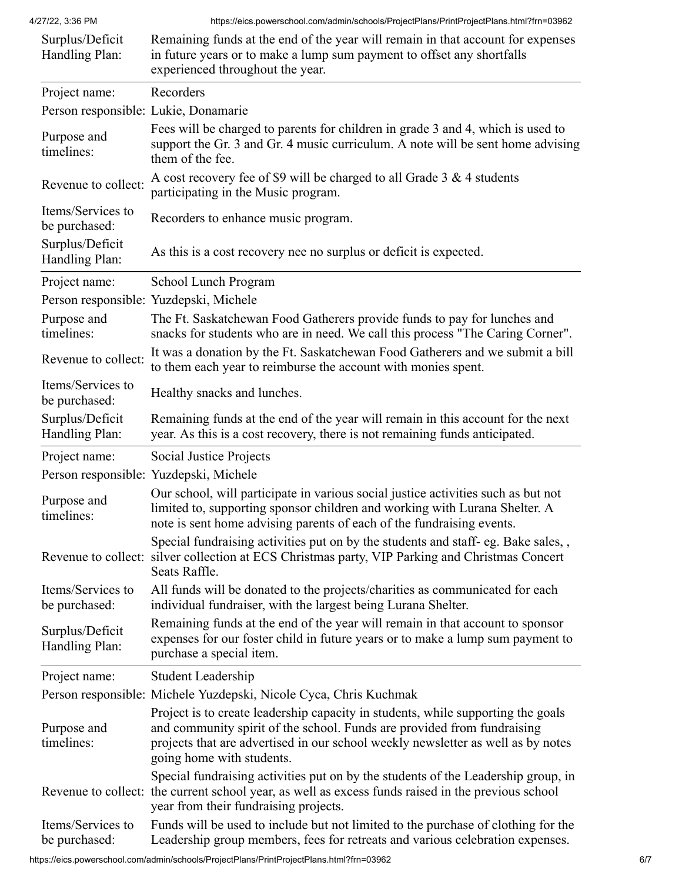| Surplus/Deficit<br>Handling Plan:    | Remaining funds at the end of the year will remain in that account for expenses<br>in future years or to make a lump sum payment to offset any shortfalls<br>experienced throughout the year.                                                                                |
|--------------------------------------|------------------------------------------------------------------------------------------------------------------------------------------------------------------------------------------------------------------------------------------------------------------------------|
| Project name:                        | Recorders                                                                                                                                                                                                                                                                    |
| Person responsible: Lukie, Donamarie |                                                                                                                                                                                                                                                                              |
| Purpose and<br>timelines:            | Fees will be charged to parents for children in grade 3 and 4, which is used to<br>support the Gr. 3 and Gr. 4 music curriculum. A note will be sent home advising<br>them of the fee.                                                                                       |
| Revenue to collect:                  | A cost recovery fee of \$9 will be charged to all Grade $3 \& 4$ students<br>participating in the Music program.                                                                                                                                                             |
| Items/Services to<br>be purchased:   | Recorders to enhance music program.                                                                                                                                                                                                                                          |
| Surplus/Deficit<br>Handling Plan:    | As this is a cost recovery nee no surplus or deficit is expected.                                                                                                                                                                                                            |
| Project name:                        | School Lunch Program                                                                                                                                                                                                                                                         |
|                                      | Person responsible: Yuzdepski, Michele                                                                                                                                                                                                                                       |
| Purpose and<br>timelines:            | The Ft. Saskatchewan Food Gatherers provide funds to pay for lunches and<br>snacks for students who are in need. We call this process "The Caring Corner".                                                                                                                   |
| Revenue to collect:                  | It was a donation by the Ft. Saskatchewan Food Gatherers and we submit a bill<br>to them each year to reimburse the account with monies spent.                                                                                                                               |
| Items/Services to<br>be purchased:   | Healthy snacks and lunches.                                                                                                                                                                                                                                                  |
| Surplus/Deficit<br>Handling Plan:    | Remaining funds at the end of the year will remain in this account for the next<br>year. As this is a cost recovery, there is not remaining funds anticipated.                                                                                                               |
| Project name:                        | Social Justice Projects                                                                                                                                                                                                                                                      |
|                                      | Person responsible: Yuzdepski, Michele                                                                                                                                                                                                                                       |
| Purpose and<br>timelines:            | Our school, will participate in various social justice activities such as but not<br>limited to, supporting sponsor children and working with Lurana Shelter. A<br>note is sent home advising parents of each of the fundraising events.                                     |
|                                      | Special fundraising activities put on by the students and staff- eg. Bake sales,,<br>Revenue to collect: silver collection at ECS Christmas party, VIP Parking and Christmas Concert<br>Seats Raffle.                                                                        |
| Items/Services to<br>be purchased:   | All funds will be donated to the projects/charities as communicated for each<br>individual fundraiser, with the largest being Lurana Shelter.                                                                                                                                |
| Surplus/Deficit<br>Handling Plan:    | Remaining funds at the end of the year will remain in that account to sponsor<br>expenses for our foster child in future years or to make a lump sum payment to<br>purchase a special item.                                                                                  |
| Project name:                        | Student Leadership                                                                                                                                                                                                                                                           |
|                                      | Person responsible: Michele Yuzdepski, Nicole Cyca, Chris Kuchmak                                                                                                                                                                                                            |
| Purpose and<br>timelines:            | Project is to create leadership capacity in students, while supporting the goals<br>and community spirit of the school. Funds are provided from fundraising<br>projects that are advertised in our school weekly newsletter as well as by notes<br>going home with students. |
|                                      | Special fundraising activities put on by the students of the Leadership group, in<br>Revenue to collect: the current school year, as well as excess funds raised in the previous school<br>year from their fundraising projects.                                             |
| Items/Services to<br>be purchased:   | Funds will be used to include but not limited to the purchase of clothing for the<br>Leadership group members, fees for retreats and various celebration expenses.                                                                                                           |